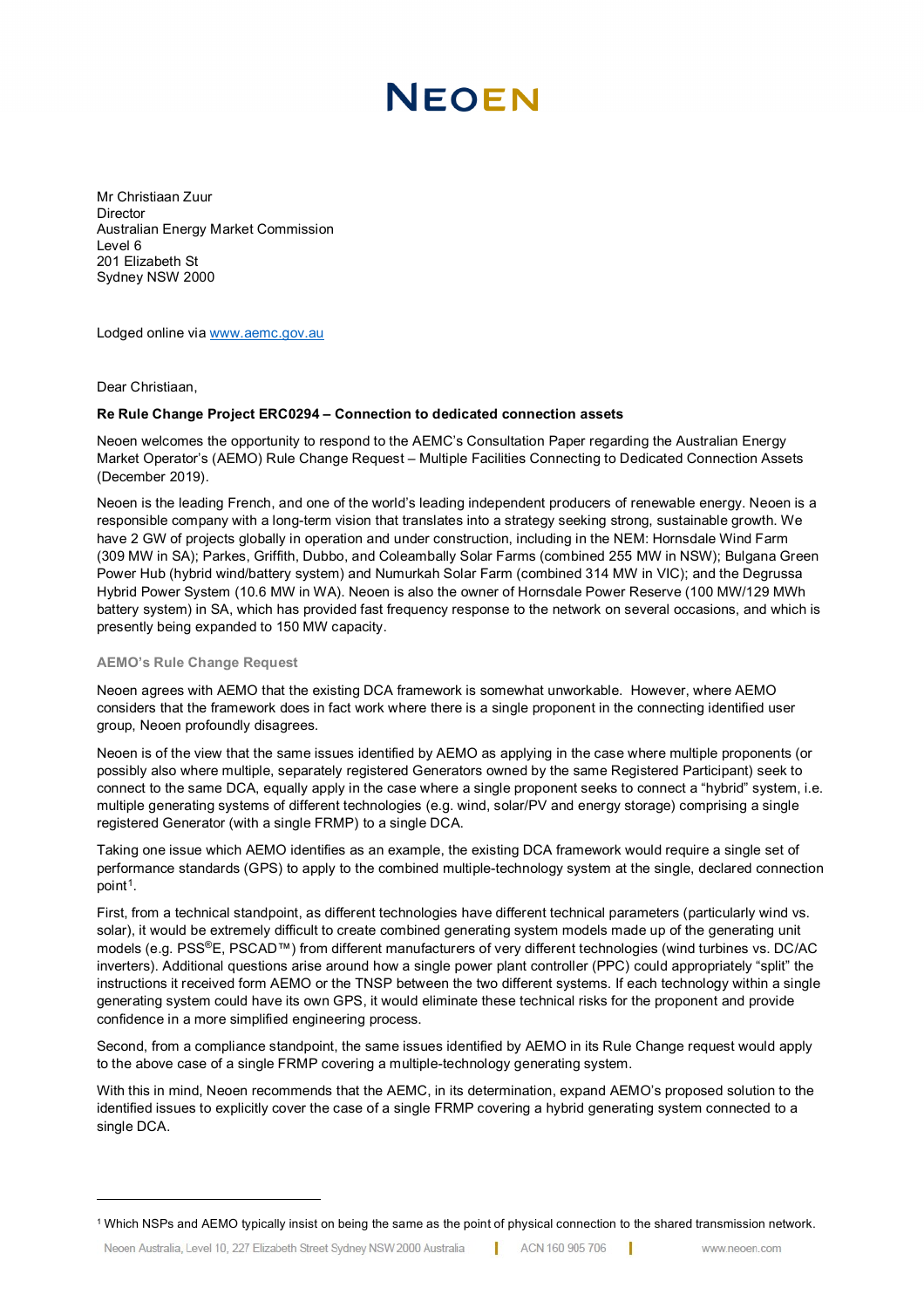# NEOEN

Mr Christiaan Zuur **Director** Australian Energy Market Commission Level 6 201 Elizabeth St Sydney NSW 2000

Lodged online via [www.aemc.gov.au](http://www.aemc.gov.au/)

Dear Christiaan,

## **Re Rule Change Project ERC0294 – Connection to dedicated connection assets**

Neoen welcomes the opportunity to respond to the AEMC's Consultation Paper regarding the Australian Energy Market Operator's (AEMO) Rule Change Request – Multiple Facilities Connecting to Dedicated Connection Assets (December 2019).

Neoen is the leading French, and one of the world's leading independent producers of renewable energy. Neoen is a responsible company with a long-term vision that translates into a strategy seeking strong, sustainable growth. We have 2 GW of projects globally in operation and under construction, including in the NEM: Hornsdale Wind Farm (309 MW in SA); Parkes, Griffith, Dubbo, and Coleambally Solar Farms (combined 255 MW in NSW); Bulgana Green Power Hub (hybrid wind/battery system) and Numurkah Solar Farm (combined 314 MW in VIC); and the Degrussa Hybrid Power System (10.6 MW in WA). Neoen is also the owner of Hornsdale Power Reserve (100 MW/129 MWh battery system) in SA, which has provided fast frequency response to the network on several occasions, and which is presently being expanded to 150 MW capacity.

### **AEMO's Rule Change Request**

Neoen agrees with AEMO that the existing DCA framework is somewhat unworkable. However, where AEMO considers that the framework does in fact work where there is a single proponent in the connecting identified user group, Neoen profoundly disagrees.

Neoen is of the view that the same issues identified by AEMO as applying in the case where multiple proponents (or possibly also where multiple, separately registered Generators owned by the same Registered Participant) seek to connect to the same DCA, equally apply in the case where a single proponent seeks to connect a "hybrid" system, i.e. multiple generating systems of different technologies (e.g. wind, solar/PV and energy storage) comprising a single registered Generator (with a single FRMP) to a single DCA.

Taking one issue which AEMO identifies as an example, the existing DCA framework would require a single set of performance standards (GPS) to apply to the combined multiple-technology system at the single, declared connection point<sup>1</sup>.

First, from a technical standpoint, as different technologies have different technical parameters (particularly wind vs. solar), it would be extremely difficult to create combined generating system models made up of the generating unit models (e.g. PSS®E, PSCAD™) from different manufacturers of very different technologies (wind turbines vs. DC/AC inverters). Additional questions arise around how a single power plant controller (PPC) could appropriately "split" the instructions it received form AEMO or the TNSP between the two different systems. If each technology within a single generating system could have its own GPS, it would eliminate these technical risks for the proponent and provide confidence in a more simplified engineering process.

Second, from a compliance standpoint, the same issues identified by AEMO in its Rule Change request would apply to the above case of a single FRMP covering a multiple-technology generating system.

With this in mind, Neoen recommends that the AEMC, in its determination, expand AEMO's proposed solution to the identified issues to explicitly cover the case of a single FRMP covering a hybrid generating system connected to a single DCA.

<span id="page-0-0"></span><sup>1</sup> Which NSPs and AEMO typically insist on being the same as the point of physical connection to the shared transmission network.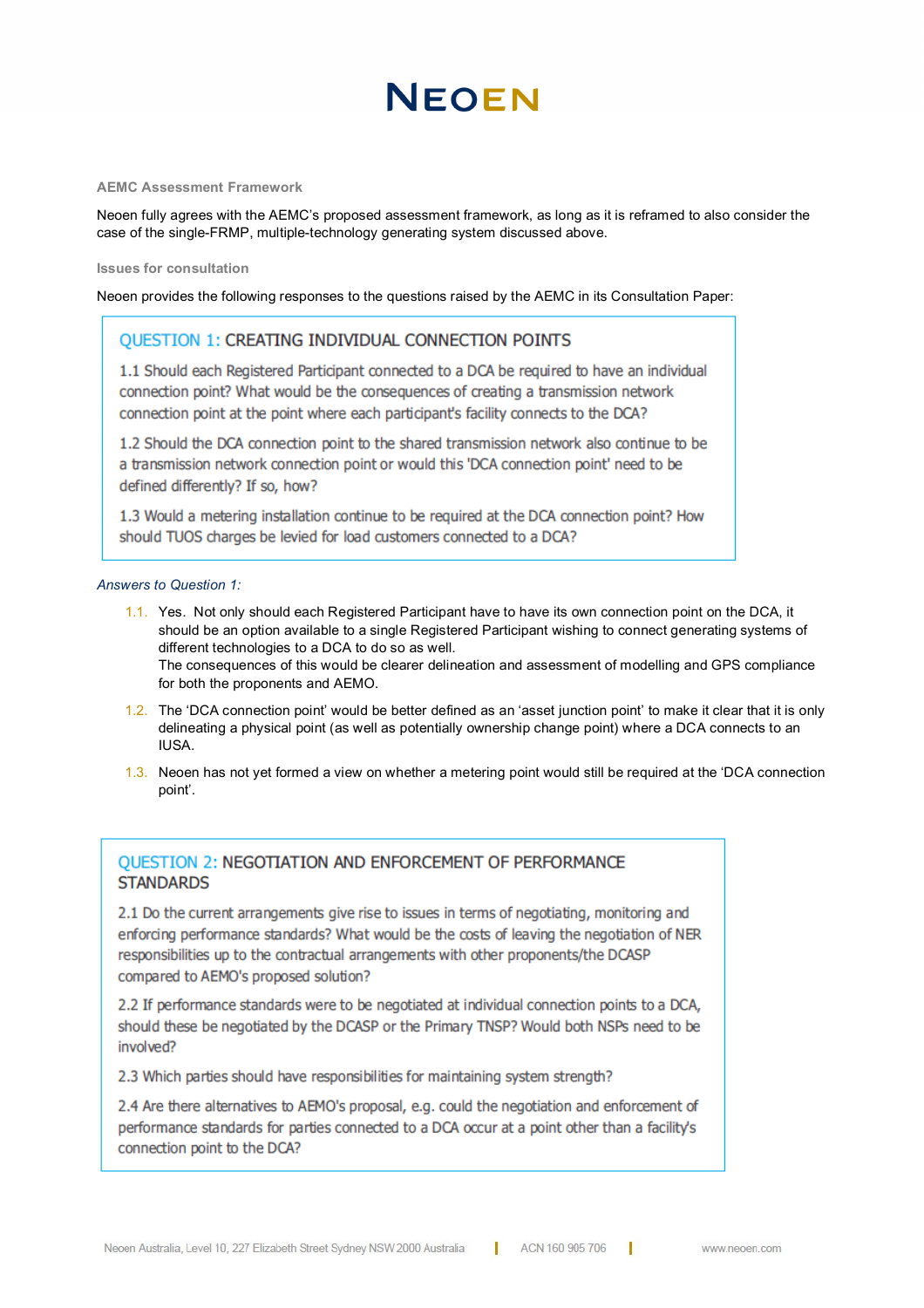# NEOFN

#### **AEMC Assessment Framework**

Neoen fully agrees with the AEMC's proposed assessment framework, as long as it is reframed to also consider the case of the single-FRMP, multiple-technology generating system discussed above.

### **Issues for consultation**

Neoen provides the following responses to the questions raised by the AEMC in its Consultation Paper:

## QUESTION 1: CREATING INDIVIDUAL CONNECTION POINTS

1.1 Should each Registered Participant connected to a DCA be required to have an individual connection point? What would be the consequences of creating a transmission network connection point at the point where each participant's facility connects to the DCA?

1.2 Should the DCA connection point to the shared transmission network also continue to be a transmission network connection point or would this 'DCA connection point' need to be defined differently? If so, how?

1.3 Would a metering installation continue to be required at the DCA connection point? How should TUOS charges be levied for load customers connected to a DCA?

## *Answers to Question 1:*

1.1. Yes. Not only should each Registered Participant have to have its own connection point on the DCA, it should be an option available to a single Registered Participant wishing to connect generating systems of different technologies to a DCA to do so as well. The consequences of this would be clearer delineation and assessment of modelling and GPS compliance

for both the proponents and AEMO.

- 1.2. The 'DCA connection point' would be better defined as an 'asset junction point' to make it clear that it is only delineating a physical point (as well as potentially ownership change point) where a DCA connects to an IUSA.
- 1.3. Neoen has not yet formed a view on whether a metering point would still be required at the 'DCA connection point'.

# **OUESTION 2: NEGOTIATION AND ENFORCEMENT OF PERFORMANCE STANDARDS**

2.1 Do the current arrangements give rise to issues in terms of negotiating, monitoring and enforcing performance standards? What would be the costs of leaving the negotiation of NER responsibilities up to the contractual arrangements with other proponents/the DCASP compared to AEMO's proposed solution?

2.2 If performance standards were to be negotiated at individual connection points to a DCA, should these be negotiated by the DCASP or the Primary TNSP? Would both NSPs need to be involved?

2.3 Which parties should have responsibilities for maintaining system strength?

2.4 Are there alternatives to AEMO's proposal, e.g. could the negotiation and enforcement of performance standards for parties connected to a DCA occur at a point other than a facility's connection point to the DCA?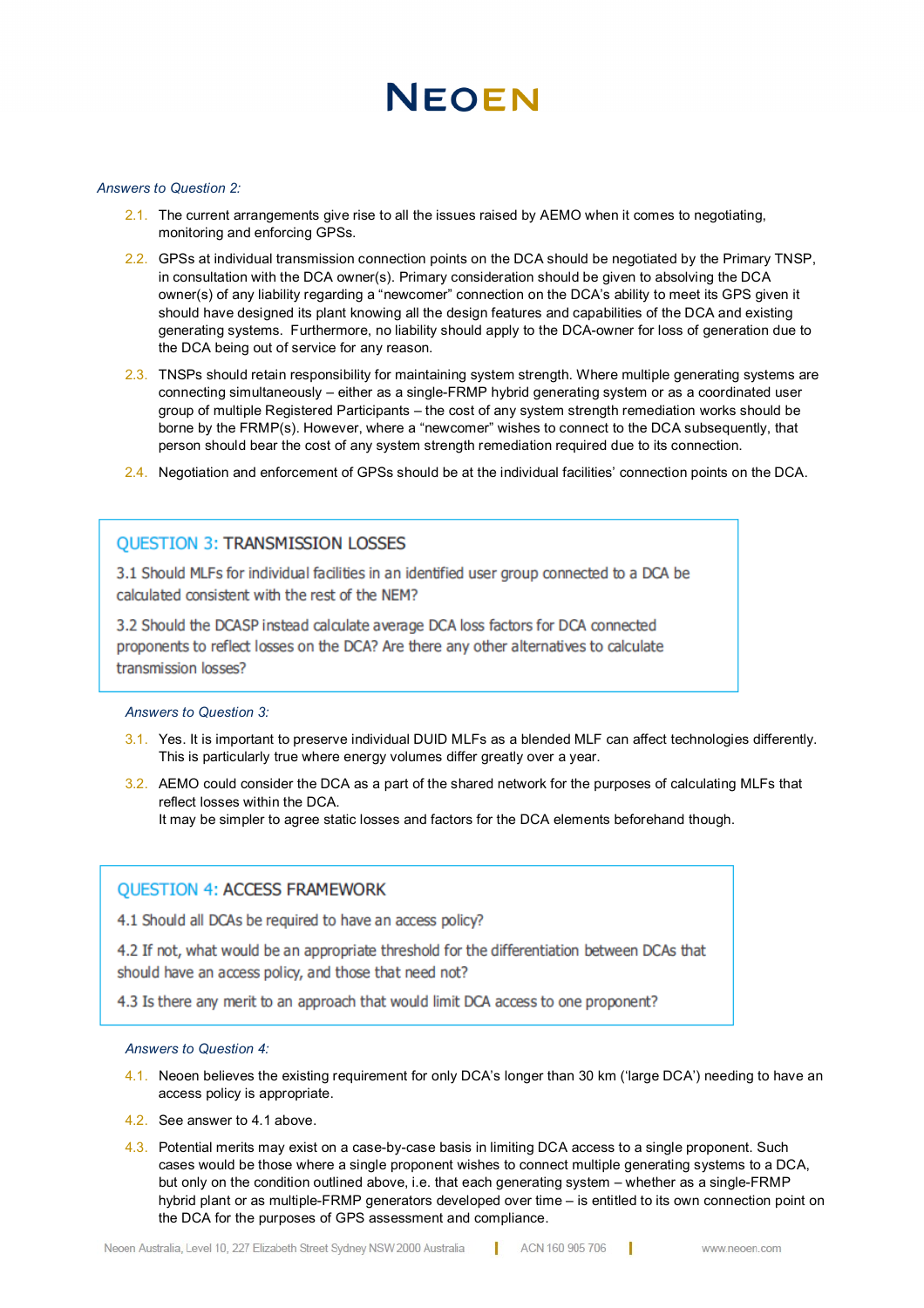# NEOEN

## *Answers to Question 2:*

- 2.1. The current arrangements give rise to all the issues raised by AEMO when it comes to negotiating, monitoring and enforcing GPSs.
- 2.2. GPSs at individual transmission connection points on the DCA should be negotiated by the Primary TNSP, in consultation with the DCA owner(s). Primary consideration should be given to absolving the DCA owner(s) of any liability regarding a "newcomer" connection on the DCA's ability to meet its GPS given it should have designed its plant knowing all the design features and capabilities of the DCA and existing generating systems. Furthermore, no liability should apply to the DCA-owner for loss of generation due to the DCA being out of service for any reason.
- 2.3. TNSPs should retain responsibility for maintaining system strength. Where multiple generating systems are connecting simultaneously – either as a single-FRMP hybrid generating system or as a coordinated user group of multiple Registered Participants – the cost of any system strength remediation works should be borne by the FRMP(s). However, where a "newcomer" wishes to connect to the DCA subsequently, that person should bear the cost of any system strength remediation required due to its connection.
- 2.4. Negotiation and enforcement of GPSs should be at the individual facilities' connection points on the DCA.

## **OUESTION 3: TRANSMISSION LOSSES**

3.1 Should MLFs for individual facilities in an identified user group connected to a DCA be calculated consistent with the rest of the NEM?

3.2 Should the DCASP instead calculate average DCA loss factors for DCA connected proponents to reflect losses on the DCA? Are there any other alternatives to calculate transmission losses?

### *3. Answers to Question 3:*

- 3.1. Yes. It is important to preserve individual DUID MLFs as a blended MLF can affect technologies differently. This is particularly true where energy volumes differ greatly over a year.
- 3.2. AEMO could consider the DCA as a part of the shared network for the purposes of calculating MLFs that reflect losses within the DCA. It may be simpler to agree static losses and factors for the DCA elements beforehand though.

## **QUESTION 4: ACCESS FRAMEWORK**

4.1 Should all DCAs be required to have an access policy?

4.2 If not, what would be an appropriate threshold for the differentiation between DCAs that should have an access policy, and those that need not?

4.3 Is there any merit to an approach that would limit DCA access to one proponent?

### *4. Answers to Question 4:*

- 4.1. Neoen believes the existing requirement for only DCA's longer than 30 km ('large DCA') needing to have an access policy is appropriate.
- 4.2. See answer to 4.1 above.
- 4.3. Potential merits may exist on a case-by-case basis in limiting DCA access to a single proponent. Such cases would be those where a single proponent wishes to connect multiple generating systems to a DCA, but only on the condition outlined above, i.e. that each generating system – whether as a single-FRMP hybrid plant or as multiple-FRMP generators developed over time – is entitled to its own connection point on the DCA for the purposes of GPS assessment and compliance.